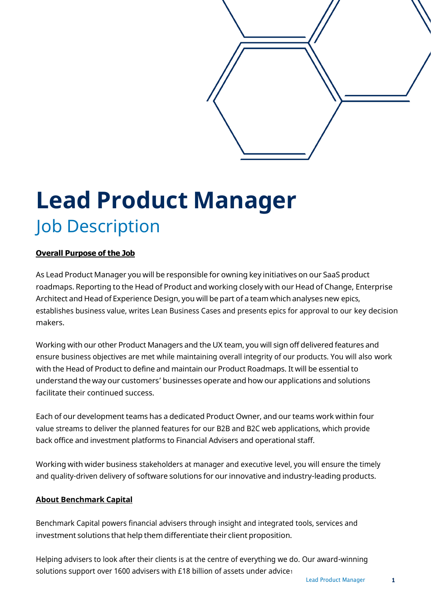

# **Lead Product Manager** Job Description

# **Overall Purpose of the Job**

As Lead Product Manager you will be responsible for owning key initiatives on our SaaS product roadmaps. Reporting to the Head of Product and working closely with our Head of Change, Enterprise Architect and Head of Experience Design, you will be part of a team which analyses new epics, establishes business value, writes Lean Business Cases and presents epics for approval to our key decision makers.

Working with our other Product Managers and the UX team, you will sign off delivered features and ensure business objectives are met while maintaining overall integrity of our products. You will also work with the Head of Product to define and maintain our Product Roadmaps. It will be essential to understand the way our customers' businesses operate and how our applications and solutions facilitate their continued success.

Each of our development teams has a dedicated Product Owner, and our teams work within four value streams to deliver the planned features for our B2B and B2C web applications, which provide back office and investment platforms to Financial Advisers and operational staff.

Working with wider business stakeholders at manager and executive level, you will ensure the timely and quality-driven delivery of software solutions for our innovative and industry-leading products.

## **About Benchmark Capital**

Benchmark Capital powers financial advisers through insight and integrated tools, services and investment solutions that help them differentiate their client proposition.

Helping advisers to look after their clients is at the centre of everything we do. Our award-winning solutions support over 1600 advisers with £18 billion of assets under advice1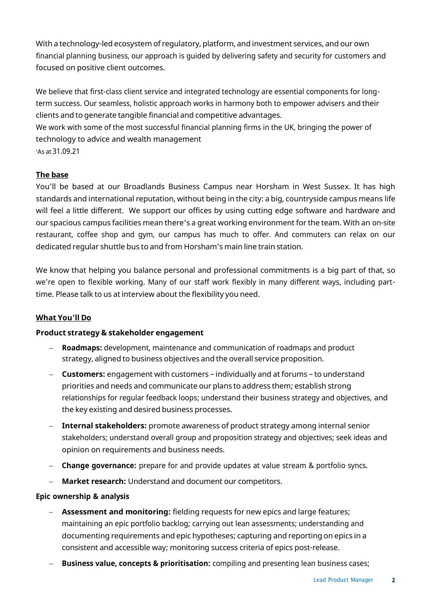With a technology-led ecosystem of regulatory, platform, and investment services, and our own financial planning business, our approach is guided by delivering safety and security for customers and focused on positive client outcomes.

We believe that first-class client service and integrated technology are essential components for longterm success. Our seamless, holistic approach works in harmony both to empower advisers and their clients and to generate tangible financial and competitive advantages.

We work with some of the most successful financial planning firms in the UK, bringing the power of technology to advice and wealth management

<sup>1</sup>As at 31.09.21

# **The base**

You'll be based at our Broadlands Business Campus near Horsham in West Sussex. It has high standards and international reputation, without being in the city: a big, countryside campus means life will feel a little different. We support our offices by using cutting edge software and hardware and our spacious campus facilities mean there's a great working environment for the team. With an on-site restaurant, coffee shop and gym, our campus has much to offer. And commuters can relax on our dedicated regular shuttle bus to and from Horsham's main line train station.

We know that helping you balance personal and professional commitments is a big part of that, so we're open to flexible working. Many of our staff work flexibly in many different ways, including parttime. Please talk to us at interview about the flexibility you need.

## **What You'll Do**

## **Product strategy & stakeholder engagement**

- **Roadmaps:** development, maintenance and communication of roadmaps and product strategy, aligned to business objectives and the overall service proposition.
- − **Customers:** engagement with customers individually and at forums to understand priorities and needs and communicate our plans to address them; establish strong relationships for regular feedback loops; understand their business strategy and objectives, and the key existing and desired business processes.
- − **Internal stakeholders:** promote awareness of product strategy among internal senior stakeholders; understand overall group and proposition strategy and objectives; seek ideas and opinion on requirements and business needs.
- − **Change governance:** prepare for and provide updates at value stream & portfolio syncs.
- **Market research:** Understand and document our competitors.

## **Epic ownership & analysis**

- − **Assessment and monitoring:** fielding requests for new epics and large features; maintaining an epic portfolio backlog; carrying out lean assessments; understanding and documenting requirements and epic hypotheses; capturing and reporting on epics in a consistent and accessible way; monitoring success criteria of epics post-release.
- − **Business value, concepts & prioritisation:** compiling and presenting lean business cases;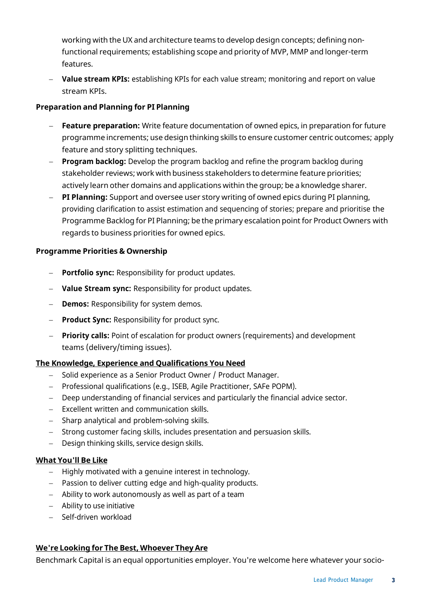working with the UX and architecture teams to develop design concepts; defining nonfunctional requirements; establishing scope and priority of MVP, MMP and longer-term features.

− **Value stream KPIs:** establishing KPIs for each value stream; monitoring and report on value stream KPIs.

## **Preparation and Planning for PI Planning**

- − **Feature preparation:** Write feature documentation of owned epics, in preparation for future programme increments; use design thinking skills to ensure customer centric outcomes; apply feature and story splitting techniques.
- − **Program backlog:** Develop the program backlog and refine the program backlog during stakeholder reviews; work with business stakeholders to determine feature priorities; actively learn other domains and applications within the group; be a knowledge sharer.
- − **PI Planning:** Support and oversee user story writing of owned epics during PI planning, providing clarification to assist estimation and sequencing of stories; prepare and prioritise the Programme Backlog for PI Planning; be the primary escalation point for Product Owners with regards to business priorities for owned epics.

## **Programme Priorities & Ownership**

- − **Portfolio sync:** Responsibility for product updates.
- − **Value Stream sync:** Responsibility for product updates.
- − **Demos:** Responsibility for system demos.
- − **Product Sync:** Responsibility for product sync.
- − **Priority calls:** Point of escalation for product owners (requirements) and development teams (delivery/timing issues).

## **The Knowledge, Experience and Qualifications You Need**

- − Solid experience as a Senior Product Owner / Product Manager.
- − Professional qualifications (e.g., ISEB, Agile Practitioner, SAFe POPM).
- − Deep understanding of financial services and particularly the financial advice sector.
- − Excellent written and communication skills.
- − Sharp analytical and problem-solving skills.
- − Strong customer facing skills, includes presentation and persuasion skills.
- − Design thinking skills, service design skills.

## **What You'll Be Like**

- − Highly motivated with a genuine interest in technology.
- − Passion to deliver cutting edge and high-quality products.
- − Ability to work autonomously as well as part of a team
- − Ability to use initiative
- − Self-driven workload

## **We're Looking for The Best, Whoever They Are**

Benchmark Capital is an equal opportunities employer. You're welcome here whatever your socio-